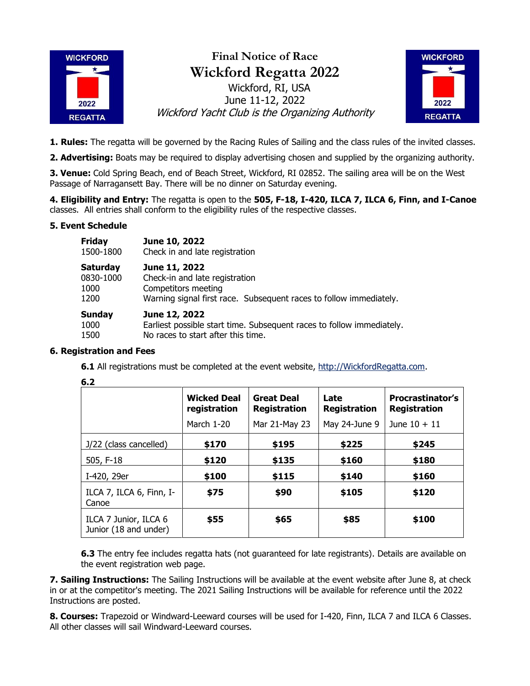

## **Final Notice of Race Wickford Regatta 2022** Wickford, RI, USA June 11-12, 2022 Wickford Yacht Club is the Organizing Authority



**1. Rules:** The regatta will be governed by the Racing Rules of Sailing and the class rules of the invited classes.

**2. Advertising:** Boats may be required to display advertising chosen and supplied by the organizing authority.

**3. Venue:** Cold Spring Beach, end of Beach Street, Wickford, RI 02852. The sailing area will be on the West Passage of Narragansett Bay. There will be no dinner on Saturday evening.

**4. Eligibility and Entry:** The regatta is open to the **505, F-18, I-420, ILCA 7, ILCA 6, Finn, and I-Canoe** classes. All entries shall conform to the eligibility rules of the respective classes.

## **5. Event Schedule**

| <b>Friday</b> | June 10, 2022                                                         |
|---------------|-----------------------------------------------------------------------|
| 1500-1800     | Check in and late registration                                        |
| Saturday      | June 11, 2022                                                         |
| 0830-1000     | Check-in and late registration                                        |
| 1000          | Competitors meeting                                                   |
| 1200          | Warning signal first race. Subsequent races to follow immediately.    |
| Sunday        | June 12, 2022                                                         |
| 1000          | Earliest possible start time. Subsequent races to follow immediately. |
| 1500          | No races to start after this time.                                    |

## **6. Registration and Fees**

**6.1** All registrations must be completed at the event website, [http://WickfordRegatta.com.](http://wickfordregatta.com/)

|                                                | <b>Wicked Deal</b><br>registration | <b>Great Deal</b><br><b>Registration</b> | Late<br><b>Registration</b> | <b>Procrastinator's</b><br><b>Registration</b> |
|------------------------------------------------|------------------------------------|------------------------------------------|-----------------------------|------------------------------------------------|
|                                                | March 1-20                         | Mar 21-May 23                            | May 24-June 9               | June $10 + 11$                                 |
| J/22 (class cancelled)                         | \$170                              | \$195                                    | \$225                       | \$245                                          |
| 505, F-18                                      | \$120                              | \$135                                    | \$160                       | \$180                                          |
| I-420, 29er                                    | \$100                              | \$115                                    | \$140                       | \$160                                          |
| ILCA 7, ILCA 6, Finn, I-<br>Canoe              | \$75                               | \$90                                     | \$105                       | \$120                                          |
| ILCA 7 Junior, ILCA 6<br>Junior (18 and under) | \$55                               | \$65                                     | \$85                        | \$100                                          |

**6.3** The entry fee includes regatta hats (not guaranteed for late registrants). Details are available on the event registration web page.

**7. Sailing Instructions:** The Sailing Instructions will be available at the event website after June 8, at check in or at the competitor's meeting. The 2021 Sailing Instructions will be available for reference until the 2022 Instructions are posted.

**8. Courses:** Trapezoid or Windward-Leeward courses will be used for I-420, Finn, ILCA 7 and ILCA 6 Classes. All other classes will sail Windward-Leeward courses.